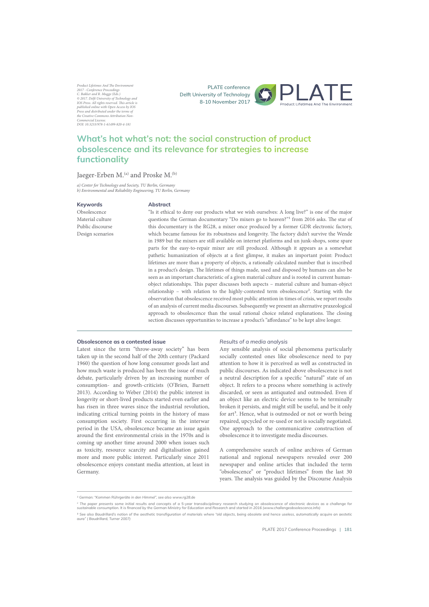Product Lifetimes And The Environment 2017 - Conference Proceedings<br>C. Bakker and R. Mugge (Eds.)<br>© 2017. Delfi University of Technology and<br>IOS Press. All rights reserved. This article is<br>published online with Open Access by IOS<br>Press and distributed under th the Creative Commons Attribution Nonmercial Licens DOI: 10.3233/978-1-61499-820-4-181

**PLATE conference Delft University of Technology 8-10 November 2017**



# **What's hot what's not: the social construction of product**  $\boldsymbol{\theta}$  **absolescence and its relevance for strategies to increase** functionality

## Jaeger-Erben M.<sup>(a)</sup> and Proske M.<sup>(b)</sup>

a) Center for Technology and Society, TU Berlin, Germany b) Environmental and Reliability Engineering, TU Berlin, Germany

## **Keywords**

#### **Abstract**

Obsolescence Material culture Public discourse Design scenarios

"Is it ethical to deny our products what we wish ourselves: A long live?" is one of the major questions the German documentary "Do mixers go to heaven?"<sup>1</sup> from 2016 asks. The star of this documentary is the RG28, a mixer once produced by a former GDR electronic factory, which became famous for its robustness and longevity. The factory didn't survive the Wende in 1989 but the mixers are still available on internet platforms and un junk-shops, some spare parts for the easy-to-repair mixer are still produced. Although it appears as a somewhat pathetic humanization of objects at a first glimpse, it makes an important point: Product lifetimes are more than a property of objects, a rationally calculated number that is inscribed in a product's design. The lifetimes of things made, used and disposed by humans can also be seen as an important characteristic of a given material culture and is rooted in current humanobject relationships. This paper discusses both aspects – material culture and human-object relationship – with relation to the highly-contested term obsolescence<sup>2</sup>. Starting with the observation that obsolescence received most public attention in times of crisis, we report results of an analysis of current media discourses. Subsequently we present an alternative praxeological approach to obsolescence than the usual rational choice related explanations. The closing section discusses opportunities to increase a product's "affordance" to be kept alive longer.

## **Obsolescence as a contested issue**

Latest since the term "throw-away society" has been taken up in the second half of the 20th century (Packard 1960) the question of how long consumer goods last and how much waste is produced has been the issue of much debate, particularly driven by an increasing number of consumption- and growth-criticists (O'Brien, Barnett 2013). According to Weber (2014) the public interest in longevity or short-lived products started even earlier and has risen in three waves since the industrial revolution, indicating critical turning points in the history of mass consumption society. First occurring in the interwar period in the USA, obsolescence became an issue again around the first environmental crisis in the 1970s and is coming up another time around 2000 when issues such as toxicity, resource scarcity and digitalisation gained more and more public interest. Particularly since 2011 obsolescence enjoys constant media attention, at least in Germany.

#### *Results of a media analysis*

Any sensible analysis of social phenomena particularly socially contested ones like obsolescence need to pay attention to how it is perceived as well as constructed in public discourses. As indicated above obsolescence is not a neutral description for a specific "natural" state of an object. It refers to a process where something is actively discarded, or seen as antiquated and outmoded. Even if an object like an electric device seems to be terminally broken it persists, and might still be useful, and be it only for art<sup>3</sup>. Hence, what is outmoded or not or worth being repaired, upcycled or re-used or not is socially negotiated. One approach to the communicative construction of obsolescence it to investigate media discourses.

A comprehensive search of online archives of German national and regional newspapers revealed over 200 newspaper and online articles that included the term "obsolescence" or "product lifetimes" from the last 30 years. The analysis was guided by the Discourse Analysis

<sup>&</sup>lt;sup>1</sup> German: "Kommen Rührgeräte in den Himmel", see also www.rg28.de

<sup>&</sup>lt;sup>2</sup> The paper presents some initial results and concepts of a 5-year transdisciplinary research studying on obsolescence of electronic devices as a challenge for<br>sustainable consumption. It is financed by the German Minist

<sup>&</sup>lt;sup>3</sup> See also Baudrillard's notion of the aesthetic transfiguration of materials where "old objects, being obsolete and hence useless, automatically acquire an aestetic<br>aura" ( Baudrillard, Turner 2007)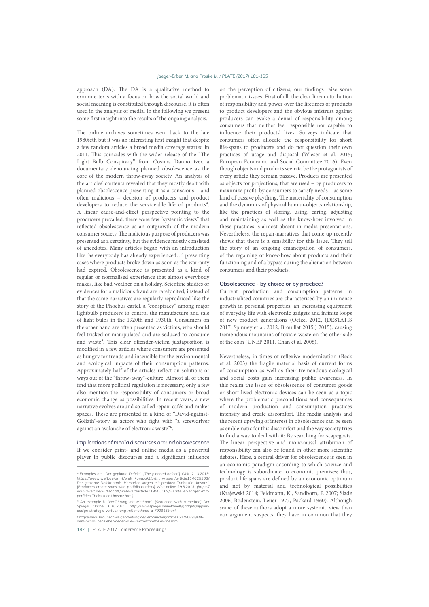approach (DA). The DA is a qualitative method to examine texts with a focus on how the social world and social meaning is constituted through discourse, it is often used in the analysis of media. In the following we present some first insight into the results of the ongoing analysis.

The online archives sometimes went back to the late 1980ieth but it was an interesting first insight that despite a few random articles a broad media coverage started in 2011. This coincides with the wider release of the "The Light Bulb Conspiracy" from Cosima Dannoritzer, a documentary denouncing planned obsolescence as the core of the modern throw-away society. An analysis of the articles' contents revealed that they mostly dealt with planned obsolescence presenting it as a conscious – and often malicious - decision of producers and product developers to reduce the serviceable life of products<sup>4</sup>. A linear cause-and-effect perspective pointing to the producers prevailed, there were few "systemic views" that reflected obsolescence as an outgrowth of the modern consumer society. The malicious purpose of producers was presented as a certainty, but the evidence mostly consisted of anecdotes. Many articles began with an introduction like "as everybody has already experienced…" presenting cases where products broke down as soon as the warranty had expired. Obsolescence is presented as a kind of regular or normalised experience that almost everybody makes, like bad weather on a holiday. Scientific studies or evidences for a malicious fraud are rarely cited, instead of that the same narratives are regularly reproduced like the story of the Phoebus cartel, a "conspiracy" among major lightbulb producers to control the manufacture and sale of light bulbs in the 1920th and 1930th. Consumers on the other hand are often presented as victims, who should feel tricked or manipulated and are seduced to consume and waste<sup>5</sup>. This clear offender-victim juxtaposition is modified in a few articles where consumers are presented as hungry for trends and insensible for the environmental and ecological impacts of their consumption patterns. Approximately half of the articles reflect on solutions or ways out of the "throw-away"-culture. Almost all of them find that more political regulation is necessary, only a few also mention the responsibility of consumers or broad economic change as possibilities. In recent years, a new narrative evolves around so called repair-cafés and maker spaces. These are presented in a kind of "David-against-Goliath"-story as actors who fight with "a screwdriver against an avalanche of electronic waste"6.

*Implications of media discourses around obsolescence* If we consider print- and online media as a powerful player in public discourses and a significant influence on the perception of citizens, our findings raise some problematic issues. First of all, the clear linear attribution of responsibility and power over the lifetimes of products to product developers and the obvious mistrust against producers can evoke a denial of responsibility among consumers that neither feel responsible nor capable to influence their products' lives. Surveys indicate that consumers often allocate the responsibility for short life-spans to producers and do not question their own practices of usage and disposal (Wieser et al. 2015; European Economic and Social Committee 2016). Even though objects and products seem to be the protagonists of every article they remain passive. Products are presented as objects for projections, that are used – by producers to maximize profit, by consumers to satisfy needs – as some kind of passive plaything. The materiality of consumption and the dynamics of physical human-objects relationship, like the practices of storing, using, caring, adjusting and maintaining as well as the know-how involved in these practices is almost absent in media presentations. Nevertheless, the repair-narratives that come up recently shows that there is a sensibility for this issue. They tell the story of an ongoing emancipation of consumers, of the regaining of know-how about products and their functioning and of a bypass curing the alienation between consumers and their products.

#### Obsolescence - by choice or by practice?

Current production and consumption patterns in industrialised countries are characterised by an immense growth in personal properties, an increasing equipment of everyday life with electronic gadgets and infinite loops of new product generations (Oetzel 2012, (DESTATIS 2017; Spinney et al. 2012; Brouillat 2015;) 2015), causing tremendous mountains of toxic e-waste on the other side of the coin (UNEP 2011, Chan et al. 2008).

Nevertheless, in times of reflexive modernization (Beck et al. 2003) the fragile material basis of current forms of consumption as well as their tremendous ecological and social costs gain increasing public awareness. In this realm the issue of obsolescence of consumer goods or short-lived electronic devices can be seen as a topic where the problematic preconditions and consequences of modern production and consumption practices intensify and create discomfort. The media analysis and the recent upswing of interest in obsolescence can be seen as emblematic for this discomfort and the way society tries to find a way to deal with it: By searching for scapegoats. The linear perspective and monocausal attribution of responsibility can also be found in other more scientific debates. Here, a central driver for obsolescence is seen in an economic paradigm according to which science and technology is subordinate to economic premises; thus, product life spans are defined by an economic optimum and not by material and technological possibilities (Krajewski 2014; Feldmann, K., Sandborn, P. 2007; Slade 2006, Bodenstein, Leuer 1977, Packard 1960). Although some of these authors adopt a more systemic view than our argument suspects, they have in common that they

<sup>&</sup>lt;sup>4</sup> Examples are "Der geplante Defekt", [The planned defect"] Welt, 21.3.2013; https://www.welt.de/print/welt\_kompakt/print\_wissen/article114625303/<br>Der-geplante-Defekt.html; "Hersteller sorgen mit perfiden Tricks für Umsatz",<br>[Producers create sales with perfidious tricks] Welt online 29.8.2013. (ht

<sup>5</sup> An example is "Verführung mit Methode", [Seduction with a method] Der<br>Spiegel Online, 6.10.2011. http://www.spiegel.de/netzwelt/gadgets/apples-<br>design-strategie-verfuehrung-mit-methode-a-790318.html

<sup>&</sup>lt;sup>6</sup> http://www.braunschweiger-zeitung.de/verbraucher/article150790896/Mit-<br>dem-Schraubenzieher-gegen-die-Elektroschrott-Lawine.html

<sup>182 |</sup> PLATE 2017 Conference Proceedings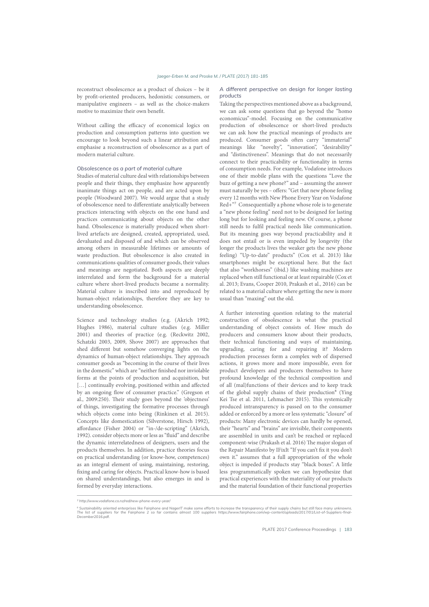reconstruct obsolescence as a product of choices – be it by profit-oriented producers, hedonistic consumers, or manipulative engineers – as well as the choice-makers motive to maximize their own benefit.

Without calling the efficacy of economical logics on production and consumption patterns into question we encourage to look beyond such a linear attribution and emphasise a reconstruction of obsolescence as a part of modern material culture.

## *Obsolescence as a part of material culture*

Studies of material culture deal with relationships between people and their things, they emphasize how apparently inanimate things act on people, and are acted upon by people (Woodward 2007). We would argue that a study of obsolescence need to differentiate analytically between practices interacting with objects on the one hand and practices communicating about objects on the other hand. Obsolescence is materially produced when shortlived artefacts are designed, created, appropriated, used, devaluated and disposed of and which can be observed among others in measurable lifetimes or amounts of waste production. But obsolescence is also created in communications qualities of consumer goods, their values and meanings are negotiated. Both aspects are deeply interrelated and form the background for a material culture where short-lived products became a normality. Material culture is inscribed into and reproduced by human-object relationships, therefore they are key to understanding obsolescence.

Science and technology studies (e.g. (Akrich 1992; Hughes 1986), material culture studies (e.g. Miller 2001) and theories of practice (e.g. (Reckwitz 2002, Schatzki 2003, 2009, Shove 2007) are approaches that shed different but somehow converging lights on the dynamics of human-object relationships. They approach consumer goods as "becoming in the course of their lives in the domestic" which are "neither finished nor inviolable forms at the points of production and acquisition, but [...] continually evolving, positioned within and affected by an ongoing flow of consumer practice." (Gregson et al., 2009:250). Their study goes beyond the 'objectness' of things, investigating the formative processes through which objects come into being (Rinkinen et al. 2015). Concepts like domestication (Silverstone, Hirsch 1992), affordance (Fisher 2004) or "in-/de-scripting" (Akrich, 1992). consider objects more or less as "fluid" and describe the dynamic interrelatedness of designers, users and the products themselves. In addition, practice theories focus on practical understanding (or know-how, competences) as an integral element of using, maintaining, restoring, fixing and caring for objects. Practical know-how is based on shared understandings, but also emerges in and is formed by everyday interactions.

#### *A different perspective on design for longer lasting products*

Taking the perspectives mentioned above as a background, we can ask some questions that go beyond the "homo economicus"-model. Focusing on the communicative production of obsolescence or short-lived products we can ask how the practical meanings of products are produced. Consumer goods often carry "immaterial" meanings like "novelty", "innovation", "desirability" and "distinctiveness". Meanings that do not necessarily connect to their practicability or functionality in terms of consumption needs. For example, Vodafone introduces one of their mobile plans with the questions "Love the buzz of getting a new phone?" and – assuming the answer must naturally be yes - offers: "Get that new phone feeling every 12 months with New Phone Every Year on Vodafone Red+"7 Consequentially a phone whose role is to generate a "new phone feeling" need not to be designed for lasting long but for looking and feeling new. Of course, a phone still needs to fulfil practical needs like communication. But its meaning goes way beyond practicability and it does not entail or is even impeded by longevity (the longer the products lives the weaker gets the new phone feeling) "Up-to-date" products" (Cox et al. 2013) like smartphones might be exceptional here. But the fact that also "workhorses" (ibid.) like washing machines are replaced when still functional or at least repairable (Cox et al. 2013; Evans, Cooper 2010, Prakash et al., 2016) can be related to a material culture where getting the new is more usual than "maxing" out the old.

A further interesting question relating to the material construction of obsolescence is what the practical understanding of object consists of. How much do producers and consumers know about their products, their technical functioning and ways of maintaining, upgrading, caring for and repairing it? Modern production processes form a complex web of dispersed actions, it grows more and more impossible, even for product developers and producers themselves to have profound knowledge of the technical composition and of all (mal)functions of their devices and to keep track of the global supply chains of their production<sup>8</sup> (Ying Kei Tse et al. 2011, Lehmacher 2015). This systemically produced intransparency is passed on to the consumer added or enforced by a more or less systematic "closure" of products: Many electronic devices can hardly be opened, their "hearts" and "brains" are invisible, their components are assembled in units and can't be reached or replaced component-wise (Prakash et al. 2016) The major slogan of the Repair Manifesto by IFixIt "If you can't fix it you don't own it." assumes that a full appropriation of the whole object is impeded if products stay "black boxes". A little less programmatically spoken we can hypothesize that practical experiences with the materiality of our products and the material foundation of their functional properties

*<sup>)699</sup>G0ooAAABO3;.J3/+BI3B/o,+;o/+ALG63/+L+O+,MLM+.,o*

<sup>®</sup> Sustainability oriented enterprises like Fairphone and NagerIT make some efforts to increase the transparency of their supply chains but still face many unknowns.<br>The list of suppliers for the Fairphone 2 so far contains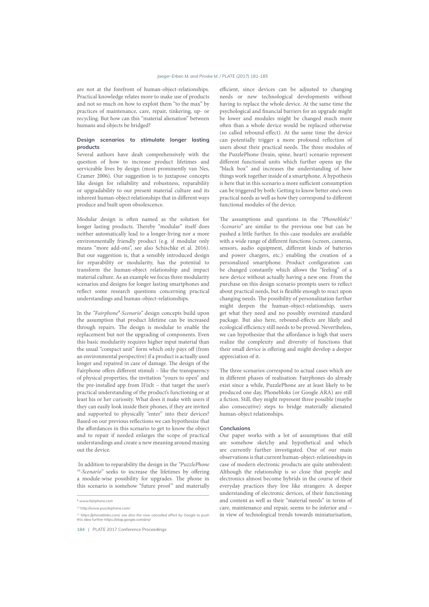### *k.+7+,LS,N+/)RB)./;)m,3@n+)RB)o)mpqFS)WCTUrX)UDULUDK*

are not at the forefront of human-object-relationships. Practical knowledge relates more to make use of products and not so much on how to exploit them "to the max" by practices of maintenance, care, repair, tinkering, up- or recycling. But how can this "material alienation" between humans and objects be bridged?

## **Design scenarios to stimulate longer lasting**  $products$

Several authors have dealt comprehensively with the question of how to increase product lifetimes and serviceable lives by design (most prominently van Nes, Cramer 2006). Our suggestion is to juxtapose concepts like design for reliability and robustness, reparability or upgradability to our present material culture and its inherent human-object relationships that in different ways produce and built upon obsolescence.

Modular design is often named as the solution for longer lasting products. Thereby "modular" itself does neither automatically lead to a longer-living nor a more environmentally friendly product (e.g. if modular only means "more add-ons", see also Schischke et al. 2016). But our suggestion is, that a sensibly introduced design for reparability or modularity, has the potential to transform the human-object relationship and impact material culture. As an example we focus three modularity scenarios and designs for longer lasting smartphones and reflect some research questions concerning practical understandings and human-object-relationships.

In the "Fairphone<sup>9</sup>-Scenario" design concepts build upon the assumption that product lifetime can be increased through repairs. The design is modular to enable the replacement but not the upgrading of components. Even this basic modularity requires higher input material than the usual "compact unit" form which only pays off (from an environmental perspective) if a product is actually used longer and repaired in case of damage. The design of the Fairphone offers different stimuli – like the transparency of physical properties, the invitation "yours to open" and the pre-installed app from IFixIt – that target the user's practical understanding of the product's functioning or at least his or her curiosity. What does it make with users if they can easily look inside their phones, if they are invited and supported to physically "enter" into their devices? Based on our previous reflections we can hypothesize that the affordances in this scenario to get to know the object and to repair if needed enlarges the scope of practical understandings and create a new meaning around maxing out the device.

 In addition to reparability the design in the "PuzzlePhone  $10$ -Scenario" seeks to increase the lifetimes by offering a module-wise possibility for upgrades. The phone in this scenario is somehow "future proof" and materially

efficient, since devices can be adjusted to changing needs or new technological developments without having to replace the whole device. At the same time the psychological and financial barriers for an upgrade might be lower and modules might be changed much more often than a whole device would be replaced otherwise (so called rebound-effect). At the same time the device can potentially trigger a more profound reflection of users about their practical needs. The three modules of the PuzzlePhone (brain, spine, heart) scenario represent different functional units which further opens up the "black box" and increases the understanding of how things work together inside of a smartphone. A hypothesis is here that in this scenario a more sufficient consumption can be triggered by both: Getting to know better one's own practical needs as well as how they correspond to different functional modules of the device.

The assumptions and questions in the "Phonebloks $11$ -Scenario" are similar to the previous one but can be pushed a little further. In this case modules are available with a wide range of different functions (screen, cameras, sensors, audio equipment, different kinds of batteries and power chargers, etc.) enabling the creation of a personalized smartphone. Product configuration can be changed constantly which allows the "feeling" of a new device without actually having a new one. From the purchase on this design scenario prompts users to reflect about practical needs, but is flexible enough to react upon changing needs. The possibility of personalization further might deepen the human-object-relationship, users get what they need and no possibly oversized standard package. But also here, rebound-effects are likely and ecological efficiency still needs to be proved. Nevertheless, we can hypothesize that the affordance is high that users realize the complexity and diversity of functions that their small device is offering and might develop a deeper appreciation of it.

The three scenarios correspond to actual cases which are in different phases of realisation: Fairphones do already exist since a while, PuzzlePhone are at least likely to be produced one day, Phonebloks (or Google ARA) are still a fiction. Still, they might represent three possible (maybe also consecutive) steps to bridge materially alienated human-object relationships.

## **Conclusions**

Our paper works with a lot of assumptions that still are somehow sketchy and hypothetical and which are currently further investigated. One of our main observations is that current human-object-relationships in case of modern electronic products are quite ambivalent: Although the relationship is so close that people and electronics almost become hybrids in the course of their everyday practices they live like strangers: A deeper understanding of electronic devices, of their functioning and content as well as their "material needs" in terms of care, maintenance and repair, seems to be inferior and – in view of technological trends towards miniaturisation,

<sup>&</sup>lt;sup>9</sup> www.fairphone.com

<sup>&</sup>lt;sup>10</sup> http://www.puzzlephone.com/

*<sup>11</sup> https://phonebloks.com/, see also the now cancelled effort by Google to push this idea further https://atap.google.com/ara/*

<sup>184 |</sup> PLATE 2017 Conference Proceedings